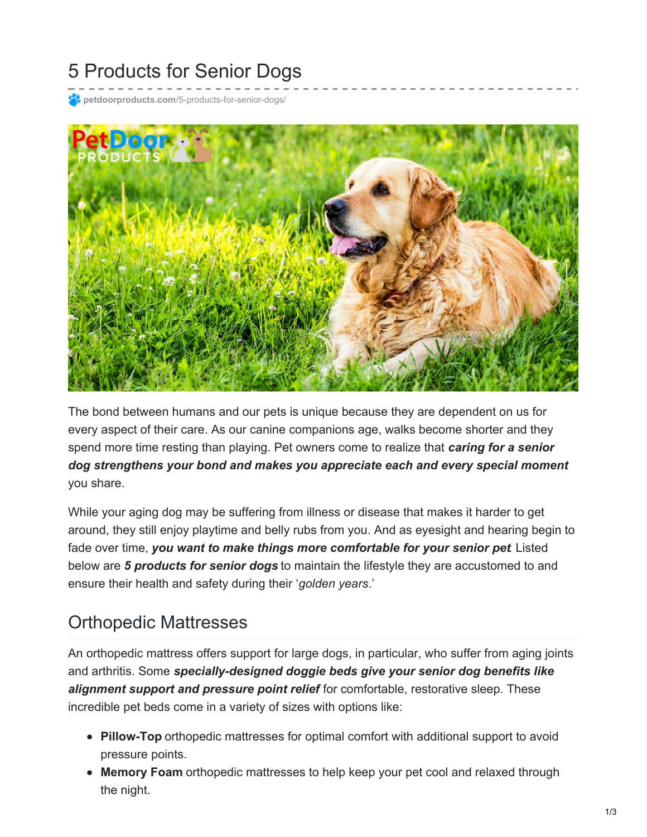# 5 Products for Senior Dogs

**petdoorproducts.com**[/5-products-for-senior-dogs/](https://petdoorproducts.com/5-products-for-senior-dogs/)



The bond between humans and our pets is unique because they are dependent on us for every aspect of their care. As our canine companions age, walks become shorter and they spend more time resting than playing. Pet owners come to realize that *caring for a senior dog strengthens your bond and makes you appreciate each and every special moment* you share.

While your aging dog may be suffering from illness or disease that makes it harder to get around, they still enjoy playtime and belly rubs from you. And as eyesight and hearing begin to fade over time, *you want to make things more comfortable for your senior pet*. Listed below are *5 products for senior dogs* to maintain the lifestyle they are accustomed to and ensure their health and safety during their '*golden years*.'

#### Orthopedic Mattresses

An orthopedic mattress offers support for large dogs, in particular, who suffer from aging joints and arthritis. Some *specially-designed doggie beds give your senior dog benefits like alignment support and pressure point relief* for comfortable, restorative sleep. These incredible pet beds come in a variety of sizes with options like:

- **Pillow-Top** orthopedic mattresses for optimal comfort with additional support to avoid pressure points.
- **Memory Foam** orthopedic mattresses to help keep your pet cool and relaxed through the night.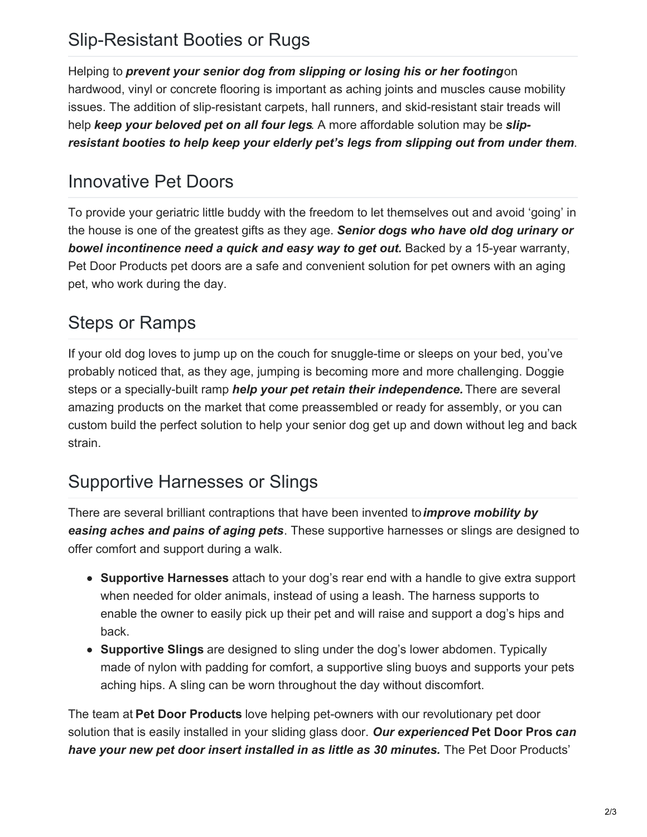## Slip-Resistant Booties or Rugs

Helping to *prevent your senior dog from slipping or losing his or her footing*on hardwood, vinyl or concrete flooring is important as aching joints and muscles cause mobility issues. The addition of slip-resistant carpets, hall runners, and skid-resistant stair treads will help *keep your beloved pet on all four legs*. A more affordable solution may be *slipresistant booties to help keep your elderly pet's legs from slipping out from under them*.

## Innovative Pet Doors

To provide your geriatric little buddy with the freedom to let themselves out and avoid 'going' in the house is one of the greatest gifts as they age. *Senior dogs who have old dog urinary or bowel incontinence need a quick and easy way to get out.* Backed by a 15-year warranty, Pet Door Products pet doors are a safe and convenient solution for pet owners with an aging pet, who work during the day.

## Steps or Ramps

If your old dog loves to jump up on the couch for snuggle-time or sleeps on your bed, you've probably noticed that, as they age, jumping is becoming more and more challenging. Doggie steps or a specially-built ramp *help your pet retain their independence.* There are several amazing products on the market that come preassembled or ready for assembly, or you can custom build the perfect solution to help your senior dog get up and down without leg and back strain.

#### Supportive Harnesses or Slings

There are several brilliant contraptions that have been invented to*improve mobility by easing aches and pains of aging pets*. These supportive harnesses or slings are designed to offer comfort and support during a walk.

- **Supportive Harnesses** attach to your dog's rear end with a handle to give extra support when needed for older animals, instead of using a leash. The harness supports to enable the owner to easily pick up their pet and will raise and support a dog's hips and back.
- **Supportive Slings** are designed to sling under the dog's lower abdomen. Typically made of nylon with padding for comfort, a supportive sling buoys and supports your pets aching hips. A sling can be worn throughout the day without discomfort.

The team at **Pet Door Products** love helping pet-owners with our revolutionary pet door solution that is easily installed in your sliding glass door. *Our experienced* **Pet Door Pros** *can have your new pet door insert installed in as little as 30 minutes.* The Pet Door Products'